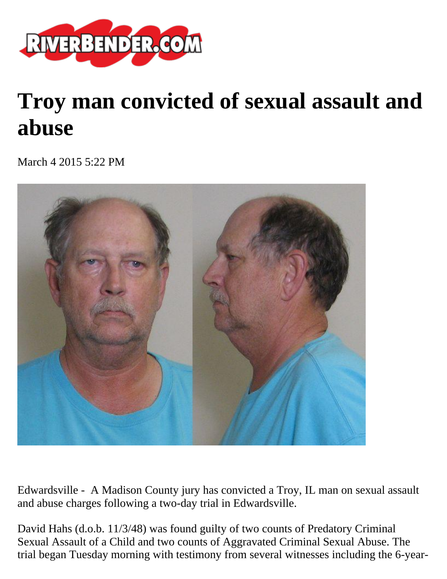

## **Troy man convicted of sexual assault and abuse**

March 4 2015 5:22 PM



Edwardsville - A Madison County jury has convicted a Troy, IL man on sexual assault and abuse charges following a two-day trial in Edwardsville.

David Hahs (d.o.b. 11/3/48) was found guilty of two counts of Predatory Criminal Sexual Assault of a Child and two counts of Aggravated Criminal Sexual Abuse. The trial began Tuesday morning with testimony from several witnesses including the 6-year-